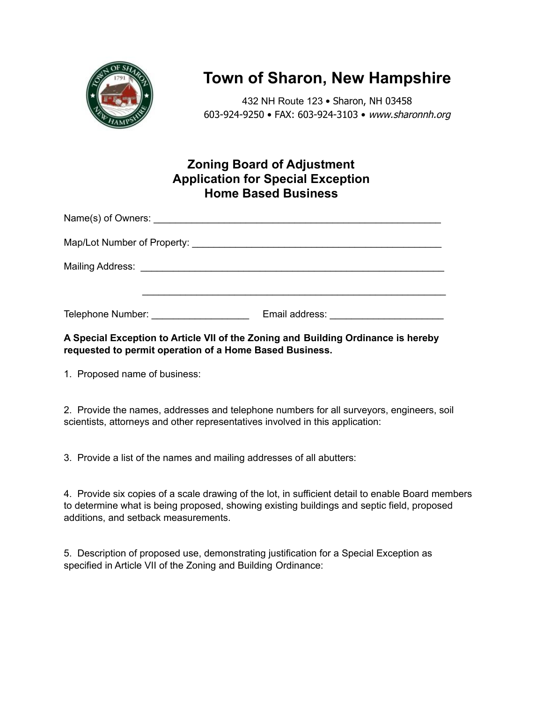

## **Town of Sharon, New Hampshire**

432 NH Route 123 • Sharon, NH 03458 603-924-9250 • FAX: 603-924-3103 • www.sharonnh.org

## **Zoning Board of Adjustment Application for Special Exception Home Based Business**

| Telephone Number: Telephone Number: | Email address: experience of the state of the state of the state of the state of the state of the state of the state of the state of the state of the state of the state of the state of the state of the state of the state o |
|-------------------------------------|--------------------------------------------------------------------------------------------------------------------------------------------------------------------------------------------------------------------------------|

## **A Special Exception to Article VII of the Zoning and Building Ordinance is hereby requested to permit operation of a Home Based Business.**

1. Proposed name of business:

2. Provide the names, addresses and telephone numbers for all surveyors, engineers, soil scientists, attorneys and other representatives involved in this application:

3. Provide a list of the names and mailing addresses of all abutters:

4. Provide six copies of a scale drawing of the lot, in sufficient detail to enable Board members to determine what is being proposed, showing existing buildings and septic field, proposed additions, and setback measurements.

5. Description of proposed use, demonstrating justification for a Special Exception as specified in Article VII of the Zoning and Building Ordinance: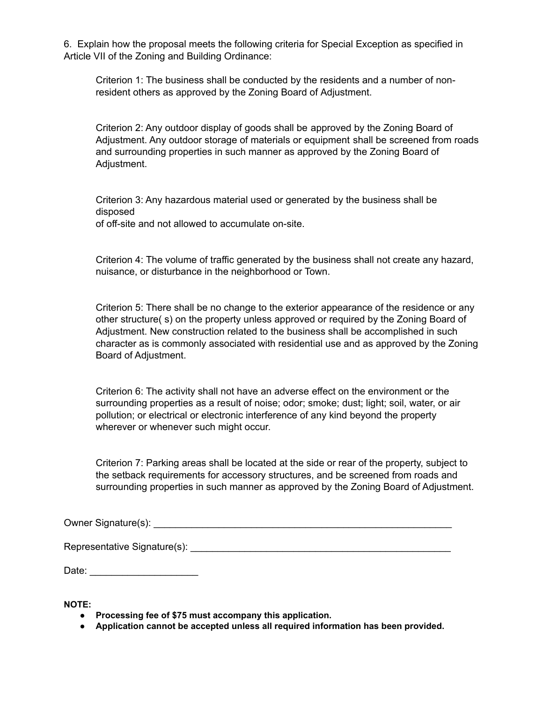6. Explain how the proposal meets the following criteria for Special Exception as specified in Article VII of the Zoning and Building Ordinance:

Criterion 1: The business shall be conducted by the residents and a number of nonresident others as approved by the Zoning Board of Adjustment.

Criterion 2: Any outdoor display of goods shall be approved by the Zoning Board of Adjustment. Any outdoor storage of materials or equipment shall be screened from roads and surrounding properties in such manner as approved by the Zoning Board of Adjustment.

Criterion 3: Any hazardous material used or generated by the business shall be disposed of off-site and not allowed to accumulate on-site.

Criterion 4: The volume of traffic generated by the business shall not create any hazard, nuisance, or disturbance in the neighborhood or Town.

Criterion 5: There shall be no change to the exterior appearance of the residence or any other structure( s) on the property unless approved or required by the Zoning Board of Adjustment. New construction related to the business shall be accomplished in such character as is commonly associated with residential use and as approved by the Zoning Board of Adjustment.

Criterion 6: The activity shall not have an adverse effect on the environment or the surrounding properties as a result of noise; odor; smoke; dust; light; soil, water, or air pollution; or electrical or electronic interference of any kind beyond the property wherever or whenever such might occur.

Criterion 7: Parking areas shall be located at the side or rear of the property, subject to the setback requirements for accessory structures, and be screened from roads and surrounding properties in such manner as approved by the Zoning Board of Adjustment.

Owner Signature(s): \_\_\_\_\_\_\_\_\_\_\_\_\_\_\_\_\_\_\_\_\_\_\_\_\_\_\_\_\_\_\_\_\_\_\_\_\_\_\_\_\_\_\_\_\_\_\_\_\_\_\_\_\_\_\_

Representative Signature(s): **Example 2** and the set of the set of the set of the set of the set of the set of the set of the set of the set of the set of the set of the set of the set of the set of the set of the set of t

Date: \_\_\_\_\_\_\_\_\_\_\_\_\_\_\_\_\_\_\_\_

**NOTE:**

- **● Processing fee of \$75 must accompany this application.**
- **● Application cannot be accepted unless all required information has been provided.**